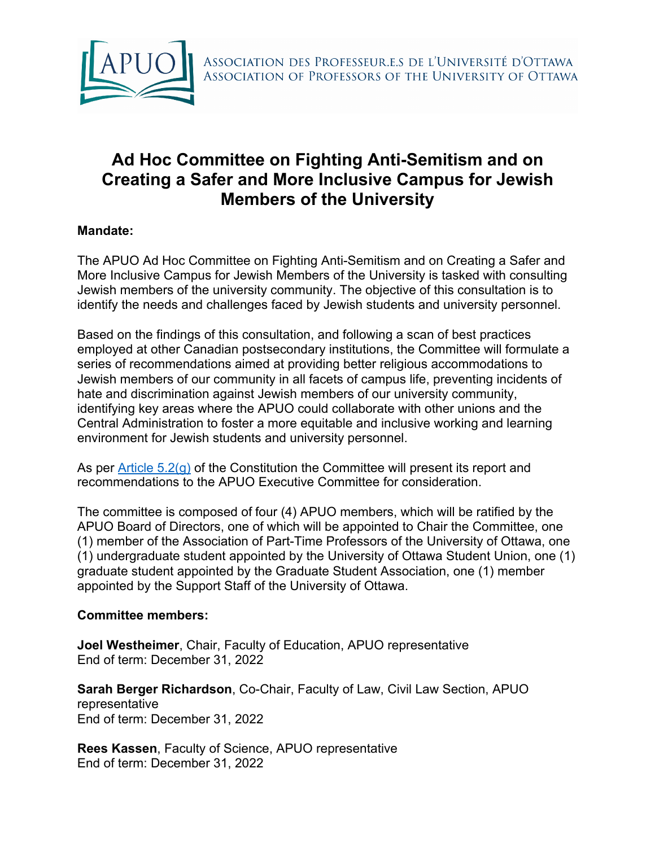

## **Ad Hoc Committee on Fighting Anti-Semitism and on Creating a Safer and More Inclusive Campus for Jewish Members of the University**

## **Mandate:**

The APUO Ad Hoc Committee on Fighting Anti-Semitism and on Creating a Safer and More Inclusive Campus for Jewish Members of the University is tasked with consulting Jewish members of the university community. The objective of this consultation is to identify the needs and challenges faced by Jewish students and university personnel.

Based on the findings of this consultation, and following a scan of best practices employed at other Canadian postsecondary institutions, the Committee will formulate a series of recommendations aimed at providing better religious accommodations to Jewish members of our community in all facets of campus life, preventing incidents of hate and discrimination against Jewish members of our university community, identifying key areas where the APUO could collaborate with other unions and the Central Administration to foster a more equitable and inclusive working and learning environment for Jewish students and university personnel.

As per Article 5.2(g) of the Constitution the Committee will present its report and recommendations to the APUO Executive Committee for consideration.

The committee is composed of four (4) APUO members, which will be ratified by the APUO Board of Directors, one of which will be appointed to Chair the Committee, one (1) member of the Association of Part-Time Professors of the University of Ottawa, one (1) undergraduate student appointed by the University of Ottawa Student Union, one (1) graduate student appointed by the Graduate Student Association, one (1) member appointed by the Support Staff of the University of Ottawa.

## **Committee members:**

**Joel Westheimer**, Chair, Faculty of Education, APUO representative End of term: December 31, 2022

**Sarah Berger Richardson**, Co-Chair, Faculty of Law, Civil Law Section, APUO representative End of term: December 31, 2022

**Rees Kassen**, Faculty of Science, APUO representative End of term: December 31, 2022